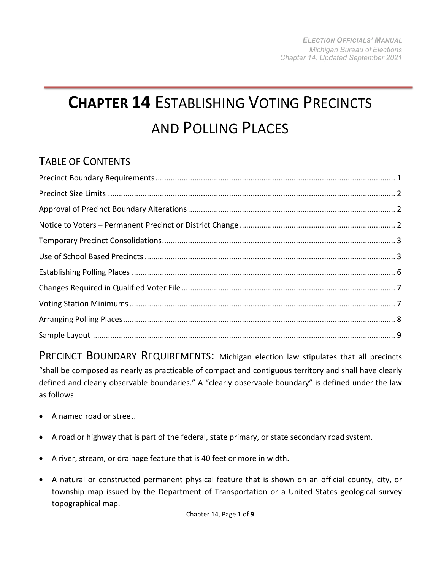## **CHAPTER 14** ESTABLISHING VOTING PRECINCTS AND POLLING PLACES

## TABLE OF CONTENTS

<span id="page-0-0"></span>PRECINCT BOUNDARY REQUIREMENTS: Michigan election law stipulates that all precincts "shall be composed as nearly as practicable of compact and contiguous territory and shall have clearly defined and clearly observable boundaries." A "clearly observable boundary" is defined under the law as follows:

- A named road or street.
- A road or highway that is part of the federal, state primary, or state secondary road system.
- A river, stream, or drainage feature that is 40 feet or more in width.
- A natural or constructed permanent physical feature that is shown on an official county, city, or township map issued by the Department of Transportation or a United States geological survey topographical map.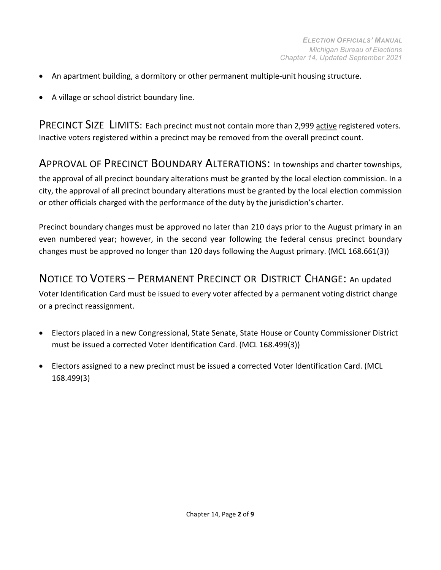- An apartment building, a dormitory or other permanent multiple-unit housing structure.
- A village or school district boundary line.

<span id="page-1-0"></span>PRECINCT SIZE LIMITS: Each precinct must not contain more than 2,999 active registered voters. Inactive voters registered within a precinct may be removed from the overall precinct count.

<span id="page-1-1"></span>APPROVAL OF PRECINCT BOUNDARY ALTERATIONS: In townships and charter townships, the approval of all precinct boundary alterations must be granted by the local election commission. In a city, the approval of all precinct boundary alterations must be granted by the local election commission or other officials charged with the performance of the duty by the jurisdiction's charter.

Precinct boundary changes must be approved no later than 210 days prior to the August primary in an even numbered year; however, in the second year following the federal census precinct boundary changes must be approved no longer than 120 days following the August primary. (MCL 168.661(3))

<span id="page-1-2"></span>NOTICE TO VOTERS – PERMANENT PRECINCT OR DISTRICT CHANGE: An updated Voter Identification Card must be issued to every voter affected by a permanent voting district change or a precinct reassignment.

- Electors placed in a new Congressional, State Senate, State House or County Commissioner District must be issued a corrected Voter Identification Card. (MCL 168.499(3))
- Electors assigned to a new precinct must be issued a corrected Voter Identification Card. (MCL 168.499(3)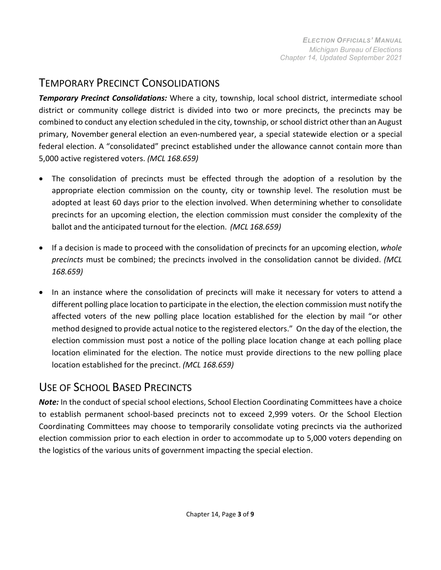## <span id="page-2-0"></span>TEMPORARY PRECINCT CONSOLIDATIONS

*Temporary Precinct Consolidations:* Where a city, township, local school district, intermediate school district or community college district is divided into two or more precincts, the precincts may be combined to conduct any election scheduled in the city, township, or school district otherthan an August primary, November general election an even-numbered year, a special statewide election or a special federal election. A "consolidated" precinct established under the allowance cannot contain more than 5,000 active registered voters. *(MCL 168.659)*

- The consolidation of precincts must be effected through the adoption of a resolution by the appropriate election commission on the county, city or township level. The resolution must be adopted at least 60 days prior to the election involved. When determining whether to consolidate precincts for an upcoming election, the election commission must consider the complexity of the ballot and the anticipated turnout for the election. *(MCL 168.659)*
- If a decision is made to proceed with the consolidation of precincts for an upcoming election, *whole precincts* must be combined; the precincts involved in the consolidation cannot be divided. *(MCL 168.659)*
- In an instance where the consolidation of precincts will make it necessary for voters to attend a different polling place location to participate in the election, the election commission must notify the affected voters of the new polling place location established for the election by mail "or other method designed to provide actual notice to the registered electors." On the day of the election, the election commission must post a notice of the polling place location change at each polling place location eliminated for the election. The notice must provide directions to the new polling place location established for the precinct. *(MCL 168.659)*

## USE OF SCHOOL BASED PRECINCTS

*Note:* In the conduct of special school elections, School Election Coordinating Committees have a choice to establish permanent school-based precincts not to exceed 2,999 voters. Or the School Election Coordinating Committees may choose to temporarily consolidate voting precincts via the authorized election commission prior to each election in order to accommodate up to 5,000 voters depending on the logistics of the various units of government impacting the special election.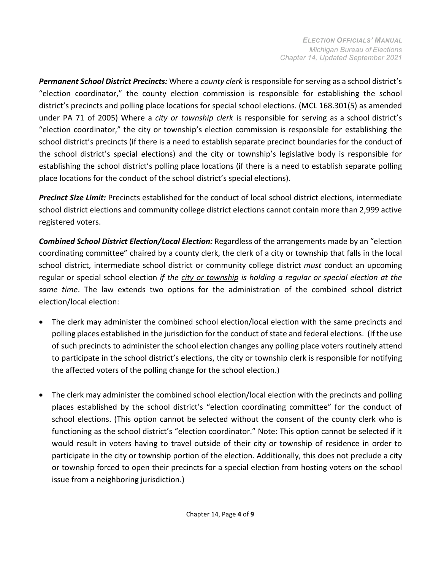*Permanent School District Precincts:* Where a *county clerk* is responsible for serving as a school district's "election coordinator," the county election commission is responsible for establishing the school district's precincts and polling place locations for special school elections. (MCL 168.301(5) as amended under PA 71 of 2005) Where a *city or township clerk* is responsible for serving as a school district's "election coordinator," the city or township's election commission is responsible for establishing the school district's precincts (if there is a need to establish separate precinct boundaries for the conduct of the school district's special elections) and the city or township's legislative body is responsible for establishing the school district's polling place locations (if there is a need to establish separate polling place locations for the conduct of the school district's special elections).

*Precinct Size Limit:* Precincts established for the conduct of local school district elections, intermediate school district elections and community college district elections cannot contain more than 2,999 active registered voters.

*Combined School District Election/Local Election:* Regardless of the arrangements made by an "election coordinating committee" chaired by a county clerk, the clerk of a city or township that falls in the local school district, intermediate school district or community college district *must* conduct an upcoming regular or special school election *if the city or township is holding a regular or special election at the same time*. The law extends two options for the administration of the combined school district election/local election:

- The clerk may administer the combined school election/local election with the same precincts and polling places established in the jurisdiction for the conduct of state and federal elections. (If the use of such precincts to administer the school election changes any polling place voters routinely attend to participate in the school district's elections, the city or township clerk is responsible for notifying the affected voters of the polling change for the school election.)
- The clerk may administer the combined school election/local election with the precincts and polling places established by the school district's "election coordinating committee" for the conduct of school elections. (This option cannot be selected without the consent of the county clerk who is functioning as the school district's "election coordinator." Note: This option cannot be selected if it would result in voters having to travel outside of their city or township of residence in order to participate in the city or township portion of the election. Additionally, this does not preclude a city or township forced to open their precincts for a special election from hosting voters on the school issue from a neighboring jurisdiction.)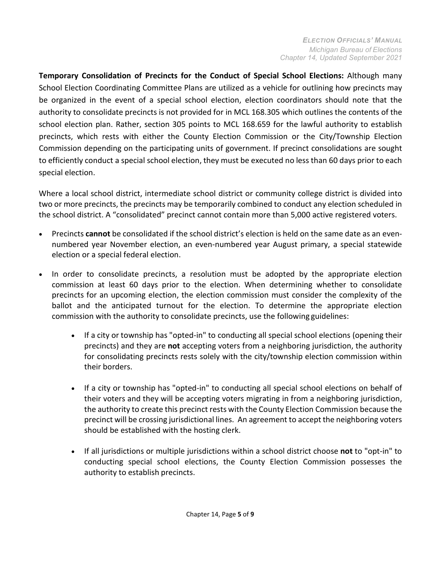**Temporary Consolidation of Precincts for the Conduct of Special School Elections:** Although many School Election Coordinating Committee Plans are utilized as a vehicle for outlining how precincts may be organized in the event of a special school election, election coordinators should note that the authority to consolidate precincts is not provided for in MCL 168.305 which outlines the contents of the school election plan. Rather, section 305 points to MCL 168.659 for the lawful authority to establish precincts, which rests with either the County Election Commission or the City/Township Election Commission depending on the participating units of government. If precinct consolidations are sought to efficiently conduct a special school election, they must be executed no less than 60 days prior to each special election.

Where a local school district, intermediate school district or community college district is divided into two or more precincts, the precincts may be temporarily combined to conduct any election scheduled in the school district. A "consolidated" precinct cannot contain more than 5,000 active registered voters.

- Precincts **cannot** be consolidated if the school district's election is held on the same date as an evennumbered year November election, an even-numbered year August primary, a special statewide election or a special federal election.
- In order to consolidate precincts, a resolution must be adopted by the appropriate election commission at least 60 days prior to the election. When determining whether to consolidate precincts for an upcoming election, the election commission must consider the complexity of the ballot and the anticipated turnout for the election. To determine the appropriate election commission with the authority to consolidate precincts, use the following guidelines:
	- If a city or township has "opted-in" to conducting all special school elections (opening their precincts) and they are **not** accepting voters from a neighboring jurisdiction, the authority for consolidating precincts rests solely with the city/township election commission within their borders.
	- If a city or township has "opted-in" to conducting all special school elections on behalf of their voters and they will be accepting voters migrating in from a neighboring jurisdiction, the authority to create this precinct rests with the County Election Commission because the precinct will be crossing jurisdictional lines. An agreement to accept the neighboring voters should be established with the hosting clerk.
	- If all jurisdictions or multiple jurisdictions within a school district choose **not** to "opt-in" to conducting special school elections, the County Election Commission possesses the authority to establish precincts.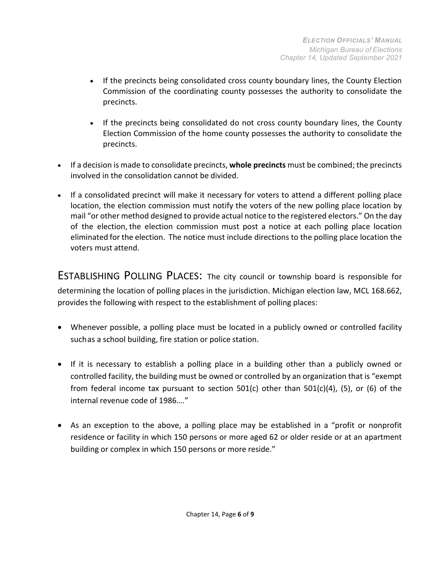- If the precincts being consolidated cross county boundary lines, the County Election Commission of the coordinating county possesses the authority to consolidate the precincts.
- If the precincts being consolidated do not cross county boundary lines, the County Election Commission of the home county possesses the authority to consolidate the precincts.
- If a decision is made to consolidate precincts, **whole precincts** must be combined; the precincts involved in the consolidation cannot be divided.
- If a consolidated precinct will make it necessary for voters to attend a different polling place location, the election commission must notify the voters of the new polling place location by mail "or other method designed to provide actual notice to the registered electors." On the day of the election, the election commission must post a notice at each polling place location eliminated for the election. The notice must include directions to the polling place location the voters must attend.

<span id="page-5-0"></span>ESTABLISHING POLLING PLACES: The city council or township board is responsible for determining the location of polling places in the jurisdiction. Michigan election law, MCL 168.662, provides the following with respect to the establishment of polling places:

- Whenever possible, a polling place must be located in a publicly owned or controlled facility suchas a school building, fire station or police station.
- If it is necessary to establish a polling place in a building other than a publicly owned or controlled facility, the building must be owned or controlled by an organization that is "exempt from federal income tax pursuant to section 501(c) other than 501(c)(4), (5), or (6) of the internal revenue code of 1986…."
- As an exception to the above, a polling place may be established in a "profit or nonprofit residence or facility in which 150 persons or more aged 62 or older reside or at an apartment building or complex in which 150 persons or more reside."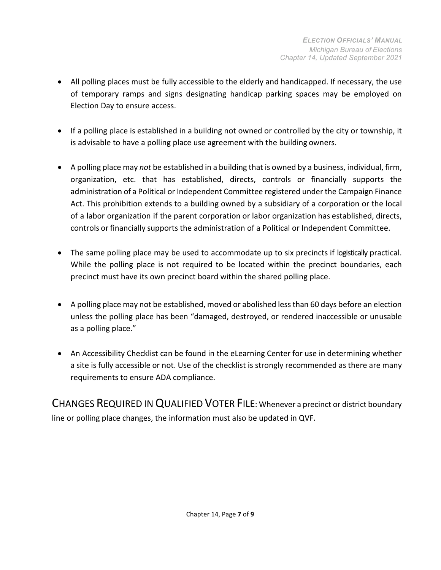- All polling places must be fully accessible to the elderly and handicapped. If necessary, the use of temporary ramps and signs designating handicap parking spaces may be employed on Election Day to ensure access.
- If a polling place is established in a building not owned or controlled by the city or township, it is advisable to have a polling place use agreement with the building owners.
- A polling place may *not* be established in a building that is owned by a business, individual, firm, organization, etc. that has established, directs, controls or financially supports the administration of a Political or Independent Committee registered under the Campaign Finance Act. This prohibition extends to a building owned by a subsidiary of a corporation or the local of a labor organization if the parent corporation or labor organization has established, directs, controls or financially supports the administration of a Political or Independent Committee.
- The same polling place may be used to accommodate up to six precincts if logistically practical. While the polling place is not required to be located within the precinct boundaries, each precinct must have its own precinct board within the shared polling place.
- A polling place may not be established, moved or abolished less than 60 days before an election unless the polling place has been "damaged, destroyed, or rendered inaccessible or unusable as a polling place."
- An Accessibility Checklist can be found in the eLearning Center for use in determining whether a site is fully accessible or not. Use of the checklist is strongly recommended as there are many requirements to ensure ADA compliance.

CHANGES REQUIRED IN QUALIFIED VOTER FILE: Whenever a precinct or district boundary line or polling place changes, the information must also be updated in QVF.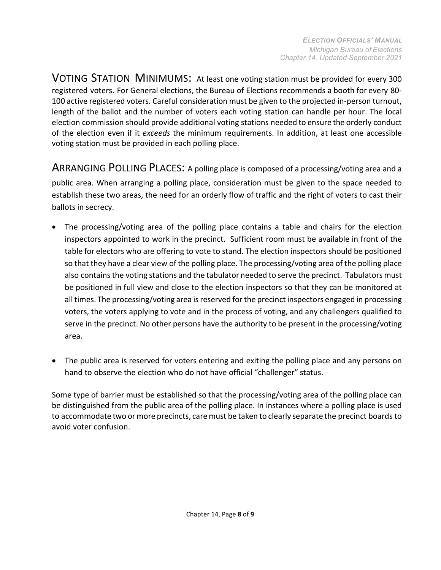VOTING STATION MINIMUMS: At least one voting station must be provided for every 300 registered voters. For General elections, the Bureau of Elections recommends a booth for every 80- 100 active registered voters. Careful consideration must be given to the projected in-person turnout, length of the ballot and the number of voters each voting station can handle per hour. The local election commission should provide additional voting stations needed to ensure the orderly conduct of the election even if it *exceeds* the minimum requirements. In addition, at least one accessible voting station must be provided in each polling place.

<span id="page-7-0"></span>ARRANGING POLLING PLACES: A polling place is composed of a processing/voting area and a public area. When arranging a polling place, consideration must be given to the space needed to establish these two areas, the need for an orderly flow of traffic and the right of voters to cast their ballots in secrecy.

- The processing/voting area of the polling place contains a table and chairs for the election inspectors appointed to work in the precinct. Sufficient room must be available in front of the table for electors who are offering to vote to stand. The election inspectors should be positioned so that they have a clear view of the polling place. The processing/voting area of the polling place also contains the voting stations and the tabulator needed to serve the precinct. Tabulators must be positioned in full view and close to the election inspectors so that they can be monitored at all times. The processing/voting area is reserved for the precinct inspectors engaged in processing voters, the voters applying to vote and in the process of voting, and any challengers qualified to serve in the precinct. No other persons have the authority to be present in the processing/voting area.
- The public area is reserved for voters entering and exiting the polling place and any persons on hand to observe the election who do not have official "challenger" status.

Some type of barrier must be established so that the processing/voting area of the polling place can be distinguished from the public area of the polling place. In instances where a polling place is used to accommodate two ormore precincts, caremust be taken to clearly separate the precinct boards to avoid voter confusion.